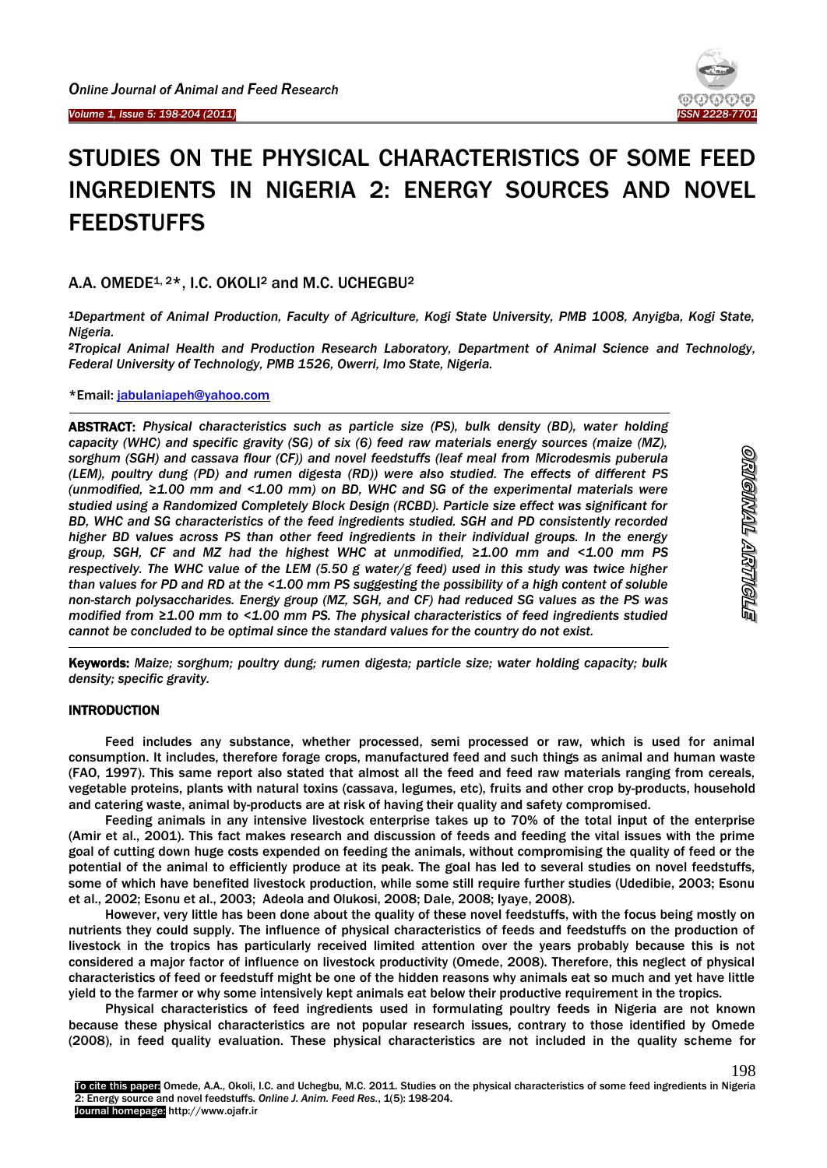I

# STUDIES ON THE PHYSICAL CHARACTERISTICS OF SOME FEED INGREDIENTS IN NIGERIA 2: ENERGY SOURCES AND NOVEL FEEDSTUFFS

# A.A. OMEDE<sup>1, 2\*</sup>, I.C. OKOLI<sup>2</sup> and M.C. UCHEGBU<sup>2</sup>

*<sup>1</sup>Department of Animal Production, Faculty of Agriculture, Kogi State University, PMB 1008, Anyigba, Kogi State, Nigeria.*

*<sup>2</sup>Tropical Animal Health and Production Research Laboratory, Department of Animal Science and Technology, Federal University of Technology, PMB 1526, Owerri, Imo State, Nigeria.*

\*Email: [jabulaniapeh@yahoo.com](mailto:jabulaniapeh@yahoo.com)

 $\overline{\phantom{a}}$ 

-

ABSTRACT: *Physical characteristics such as particle size (PS), bulk density (BD), water holding capacity (WHC) and specific gravity (SG) of six (6) feed raw materials energy sources (maize (MZ), sorghum (SGH) and cassava flour (CF)) and novel feedstuffs (leaf meal from Microdesmis puberula (LEM), poultry dung (PD) and rumen digesta (RD)) were also studied. The effects of different PS (unmodified, ≥1.00 mm and <1.00 mm) on BD, WHC and SG of the experimental materials were studied using a Randomized Completely Block Design (RCBD). Particle size effect was significant for BD, WHC and SG characteristics of the feed ingredients studied. SGH and PD consistently recorded higher BD values across PS than other feed ingredients in their individual groups. In the energy group, SGH, CF and MZ had the highest WHC at unmodified, ≥1.00 mm and <1.00 mm PS respectively. The WHC value of the LEM (5.50 g water/g feed) used in this study was twice higher than values for PD and RD at the <1.00 mm PS suggesting the possibility of a high content of soluble non-starch polysaccharides. Energy group (MZ, SGH, and CF) had reduced SG values as the PS was modified from ≥1.00 mm to <1.00 mm PS. The physical characteristics of feed ingredients studied cannot be concluded to be optimal since the standard values for the country do not exist.*

Keywords: *Maize; sorghum; poultry dung; rumen digesta; particle size; water holding capacity; bulk density; specific gravity.*

# INTRODUCTION

Feed includes any substance, whether processed, semi processed or raw, which is used for animal consumption. It includes, therefore forage crops, manufactured feed and such things as animal and human waste (FAO, 1997). This same report also stated that almost all the feed and feed raw materials ranging from cereals, vegetable proteins, plants with natural toxins (cassava, legumes, etc), fruits and other crop by-products, household and catering waste, animal by-products are at risk of having their quality and safety compromised.

Feeding animals in any intensive livestock enterprise takes up to 70% of the total input of the enterprise (Amir et al., 2001). This fact makes research and discussion of feeds and feeding the vital issues with the prime goal of cutting down huge costs expended on feeding the animals, without compromising the quality of feed or the potential of the animal to efficiently produce at its peak. The goal has led to several studies on novel feedstuffs, some of which have benefited livestock production, while some still require further studies (Udedibie, 2003; Esonu et al., 2002; Esonu et al., 2003; Adeola and Olukosi, 2008; Dale, 2008; Iyaye, 2008).

However, very little has been done about the quality of these novel feedstuffs, with the focus being mostly on nutrients they could supply. The influence of physical characteristics of feeds and feedstuffs on the production of livestock in the tropics has particularly received limited attention over the years probably because this is not considered a major factor of influence on livestock productivity (Omede, 2008). Therefore, this neglect of physical characteristics of feed or feedstuff might be one of the hidden reasons why animals eat so much and yet have little yield to the farmer or why some intensively kept animals eat below their productive requirement in the tropics.

Physical characteristics of feed ingredients used in formulating poultry feeds in Nigeria are not known because these physical characteristics are not popular research issues, contrary to those identified by Omede (2008), in feed quality evaluation. These physical characteristics are not included in the quality scheme for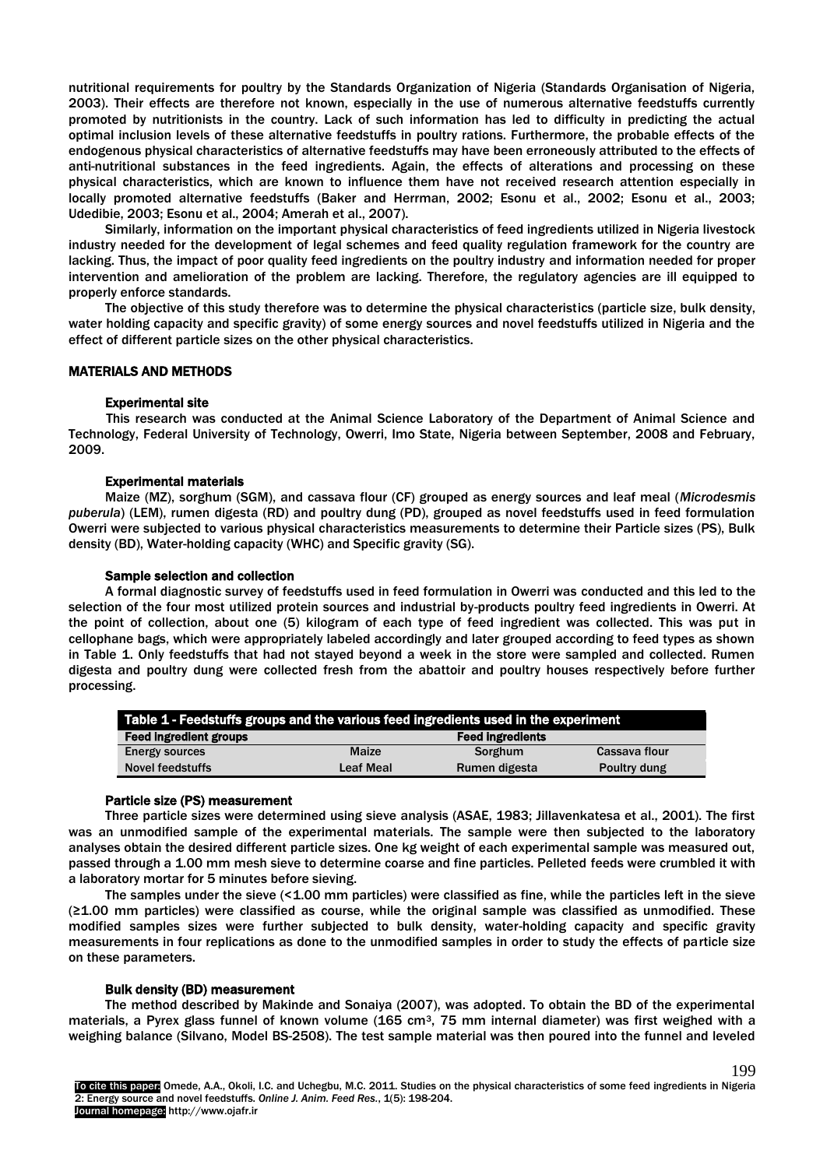nutritional requirements for poultry by the Standards Organization of Nigeria (Standards Organisation of Nigeria, 2003). Their effects are therefore not known, especially in the use of numerous alternative feedstuffs currently promoted by nutritionists in the country. Lack of such information has led to difficulty in predicting the actual optimal inclusion levels of these alternative feedstuffs in poultry rations. Furthermore, the probable effects of the endogenous physical characteristics of alternative feedstuffs may have been erroneously attributed to the effects of anti-nutritional substances in the feed ingredients. Again, the effects of alterations and processing on these physical characteristics, which are known to influence them have not received research attention especially in locally promoted alternative feedstuffs (Baker and Herrman, 2002; Esonu et al., 2002; Esonu et al., 2003; Udedibie, 2003; Esonu et al., 2004; Amerah et al., 2007).

Similarly, information on the important physical characteristics of feed ingredients utilized in Nigeria livestock industry needed for the development of legal schemes and feed quality regulation framework for the country are lacking. Thus, the impact of poor quality feed ingredients on the poultry industry and information needed for proper intervention and amelioration of the problem are lacking. Therefore, the regulatory agencies are ill equipped to properly enforce standards.

The objective of this study therefore was to determine the physical characteristics (particle size, bulk density, water holding capacity and specific gravity) of some energy sources and novel feedstuffs utilized in Nigeria and the effect of different particle sizes on the other physical characteristics.

# MATERIALS AND METHODS

#### Experimental site

This research was conducted at the Animal Science Laboratory of the Department of Animal Science and Technology, Federal University of Technology, Owerri, Imo State, Nigeria between September, 2008 and February, 2009.

#### Experimental materials

Maize (MZ), sorghum (SGM), and cassava flour (CF) grouped as energy sources and leaf meal (*Microdesmis puberula*) (LEM), rumen digesta (RD) and poultry dung (PD), grouped as novel feedstuffs used in feed formulation Owerri were subjected to various physical characteristics measurements to determine their Particle sizes (PS), Bulk density (BD), Water-holding capacity (WHC) and Specific gravity (SG).

#### Sample selection and collection

A formal diagnostic survey of feedstuffs used in feed formulation in Owerri was conducted and this led to the selection of the four most utilized protein sources and industrial by-products poultry feed ingredients in Owerri. At the point of collection, about one (5) kilogram of each type of feed ingredient was collected. This was put in cellophane bags, which were appropriately labeled accordingly and later grouped according to feed types as shown in Table 1. Only feedstuffs that had not stayed beyond a week in the store were sampled and collected. Rumen digesta and poultry dung were collected fresh from the abattoir and poultry houses respectively before further processing.

| Table 1 - Feedstuffs groups and the various feed ingredients used in the experiment |                                            |         |               |  |  |  |
|-------------------------------------------------------------------------------------|--------------------------------------------|---------|---------------|--|--|--|
| <b>Feed ingredient groups</b>                                                       | <b>Feed ingredients</b>                    |         |               |  |  |  |
| <b>Energy sources</b>                                                               | <b>Maize</b>                               | Sorghum | Cassava flour |  |  |  |
| <b>Novel feedstuffs</b>                                                             | Leaf Meal<br>Poultry dung<br>Rumen digesta |         |               |  |  |  |

#### Particle size (PS) measurement

Three particle sizes were determined using sieve analysis (ASAE, 1983; Jillavenkatesa et al., 2001). The first was an unmodified sample of the experimental materials. The sample were then subjected to the laboratory analyses obtain the desired different particle sizes. One kg weight of each experimental sample was measured out, passed through a 1.00 mm mesh sieve to determine coarse and fine particles. Pelleted feeds were crumbled it with a laboratory mortar for 5 minutes before sieving.

The samples under the sieve (<1.00 mm particles) were classified as fine, while the particles left in the sieve (≥1.00 mm particles) were classified as course, while the original sample was classified as unmodified. These modified samples sizes were further subjected to bulk density, water-holding capacity and specific gravity measurements in four replications as done to the unmodified samples in order to study the effects of particle size on these parameters.

#### Bulk density (BD) measurement

The method described by Makinde and Sonaiya (2007), was adopted. To obtain the BD of the experimental materials, a Pyrex glass funnel of known volume (165 cm<sup>3</sup>, 75 mm internal diameter) was first weighed with a weighing balance (Silvano, Model BS-2508). The test sample material was then poured into the funnel and leveled

199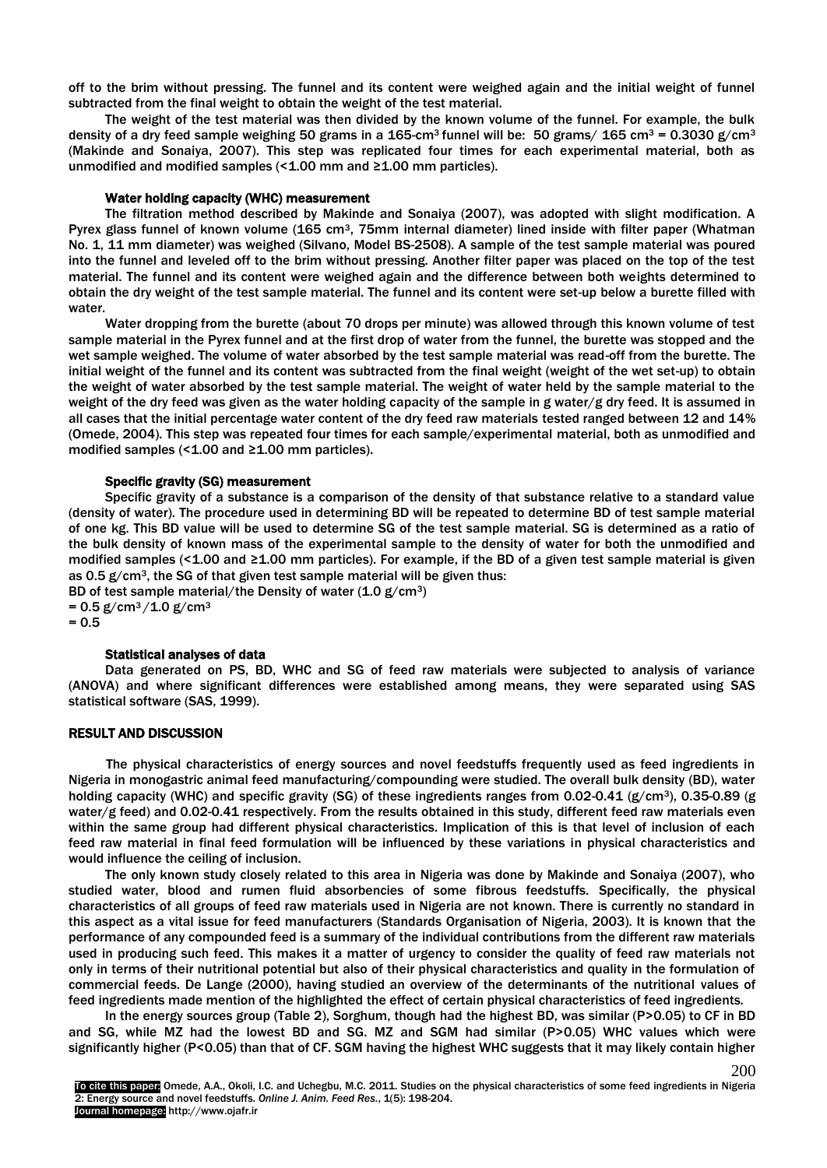off to the brim without pressing. The funnel and its content were weighed again and the initial weight of funnel subtracted from the final weight to obtain the weight of the test material.

The weight of the test material was then divided by the known volume of the funnel. For example, the bulk density of a dry feed sample weighing 50 grams in a 165-cm<sup>3</sup> funnel will be: 50 grams/ 165 cm<sup>3</sup> = 0.3030 g/cm<sup>3</sup> (Makinde and Sonaiya, 2007). This step was replicated four times for each experimental material, both as unmodified and modified samples  $($  < 1.00 mm and ≥1.00 mm particles).

#### Water holding capacity (WHC) measurement

The filtration method described by Makinde and Sonaiya (2007), was adopted with slight modification. A Pyrex glass funnel of known volume (165 cm3, 75mm internal diameter) lined inside with filter paper (Whatman No. 1, 11 mm diameter) was weighed (Silvano, Model BS-2508). A sample of the test sample material was poured into the funnel and leveled off to the brim without pressing. Another filter paper was placed on the top of the test material. The funnel and its content were weighed again and the difference between both weights determined to obtain the dry weight of the test sample material. The funnel and its content were set-up below a burette filled with water.

Water dropping from the burette (about 70 drops per minute) was allowed through this known volume of test sample material in the Pyrex funnel and at the first drop of water from the funnel, the burette was stopped and the wet sample weighed. The volume of water absorbed by the test sample material was read-off from the burette. The initial weight of the funnel and its content was subtracted from the final weight (weight of the wet set-up) to obtain the weight of water absorbed by the test sample material. The weight of water held by the sample material to the weight of the dry feed was given as the water holding capacity of the sample in g water/g dry feed. It is assumed in all cases that the initial percentage water content of the dry feed raw materials tested ranged between 12 and 14% (Omede, 2004). This step was repeated four times for each sample/experimental material, both as unmodified and modified samples (< $1.00$  and  $\geq 1.00$  mm particles).

### Specific gravity (SG) measurement

Specific gravity of a substance is a comparison of the density of that substance relative to a standard value (density of water). The procedure used in determining BD will be repeated to determine BD of test sample material of one kg. This BD value will be used to determine SG of the test sample material. SG is determined as a ratio of the bulk density of known mass of the experimental sample to the density of water for both the unmodified and modified samples (<1.00 and ≥1.00 mm particles). For example, if the BD of a given test sample material is given as 0.5 g/cm3, the SG of that given test sample material will be given thus:

BD of test sample material/the Density of water  $(1.0 \text{ g/cm}^3)$ 

 $= 0.5$  g/cm<sup>3</sup>/1.0 g/cm<sup>3</sup>  $= 0.5$ 

# Statistical analyses of data

 Data generated on PS, BD, WHC and SG of feed raw materials were subjected to analysis of variance (ANOVA) and where significant differences were established among means, they were separated using SAS statistical software (SAS, 1999).

#### RESULT AND DISCUSSION

The physical characteristics of energy sources and novel feedstuffs frequently used as feed ingredients in Nigeria in monogastric animal feed manufacturing/compounding were studied. The overall bulk density (BD), water holding capacity (WHC) and specific gravity (SG) of these ingredients ranges from 0.02-0.41 (g/cm<sup>3</sup>), 0.35-0.89 (g water/g feed) and 0.02-0.41 respectively. From the results obtained in this study, different feed raw materials even within the same group had different physical characteristics. Implication of this is that level of inclusion of each feed raw material in final feed formulation will be influenced by these variations in physical characteristics and would influence the ceiling of inclusion.

The only known study closely related to this area in Nigeria was done by Makinde and Sonaiya (2007), who studied water, blood and rumen fluid absorbencies of some fibrous feedstuffs. Specifically, the physical characteristics of all groups of feed raw materials used in Nigeria are not known. There is currently no standard in this aspect as a vital issue for feed manufacturers (Standards Organisation of Nigeria, 2003). It is known that the performance of any compounded feed is a summary of the individual contributions from the different raw materials used in producing such feed. This makes it a matter of urgency to consider the quality of feed raw materials not only in terms of their nutritional potential but also of their physical characteristics and quality in the formulation of commercial feeds. De Lange (2000), having studied an overview of the determinants of the nutritional values of feed ingredients made mention of the highlighted the effect of certain physical characteristics of feed ingredients.

In the energy sources group (Table 2), Sorghum, though had the highest BD, was similar (P>0.05) to CF in BD and SG, while MZ had the lowest BD and SG. MZ and SGM had similar (P>0.05) WHC values which were significantly higher (P<0.05) than that of CF. SGM having the highest WHC suggests that it may likely contain higher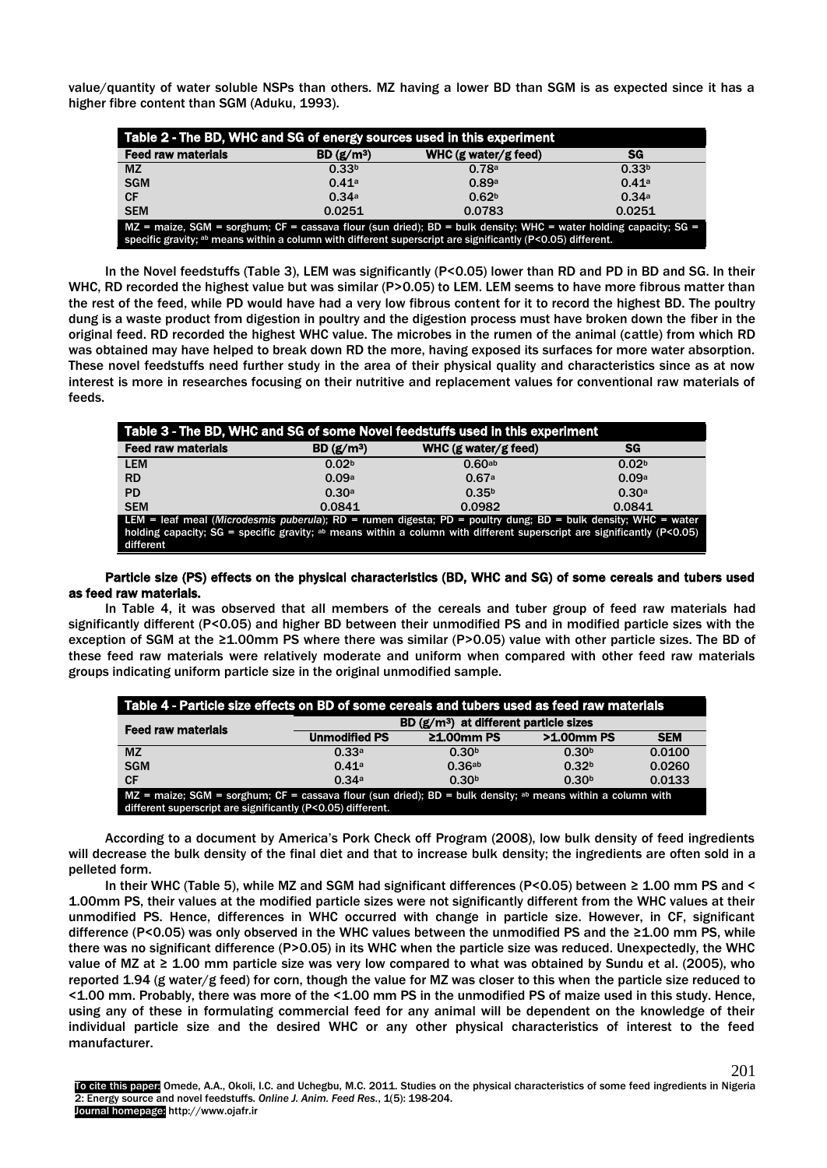value/quantity of water soluble NSPs than others. MZ having a lower BD than SGM is as expected since it has a higher fibre content than SGM (Aduku, 1993).

| Table 2 - The BD, WHC and SG of energy sources used in this experiment                                                                                                                                                            |                       |                        |                   |  |
|-----------------------------------------------------------------------------------------------------------------------------------------------------------------------------------------------------------------------------------|-----------------------|------------------------|-------------------|--|
| <b>Feed raw materials</b>                                                                                                                                                                                                         | BD(g/m <sup>3</sup> ) | WHC $(g$ water/g feed) | SG                |  |
| <b>MZ</b>                                                                                                                                                                                                                         | 0.33 <sup>b</sup>     | 0.78a                  | 0.33 <sup>b</sup> |  |
| <b>SGM</b>                                                                                                                                                                                                                        | 0.41a                 | 0.89a                  | 0.41a             |  |
| <b>CF</b>                                                                                                                                                                                                                         | 0.34a                 | 0.62 <sup>b</sup>      | 0.34a             |  |
| <b>SEM</b>                                                                                                                                                                                                                        | 0.0251                | 0.0783                 | 0.0251            |  |
| $MZ$ = maize, SGM = sorghum; CF = cassava flour (sun dried); BD = bulk density; WHC = water holding capacity; SG =<br>specific gravity; ab means within a column with different superscript are significantly (P<0.05) different. |                       |                        |                   |  |

In the Novel feedstuffs (Table 3), LEM was significantly (P<0.05) lower than RD and PD in BD and SG. In their WHC, RD recorded the highest value but was similar (P>0.05) to LEM. LEM seems to have more fibrous matter than the rest of the feed, while PD would have had a very low fibrous content for it to record the highest BD. The poultry dung is a waste product from digestion in poultry and the digestion process must have broken down the fiber in the original feed. RD recorded the highest WHC value. The microbes in the rumen of the animal (cattle) from which RD was obtained may have helped to break down RD the more, having exposed its surfaces for more water absorption. These novel feedstuffs need further study in the area of their physical quality and characteristics since as at now interest is more in researches focusing on their nutritive and replacement values for conventional raw materials of feeds.

| Table 3 - The BD, WHC and SG of some Novel feedstuffs used in this experiment                                                                                                                                                                                            |                       |                        |                   |  |  |
|--------------------------------------------------------------------------------------------------------------------------------------------------------------------------------------------------------------------------------------------------------------------------|-----------------------|------------------------|-------------------|--|--|
| <b>Feed raw materials</b>                                                                                                                                                                                                                                                | BD(g/m <sup>3</sup> ) | WHC $(g$ water/g feed) | SG                |  |  |
| <b>LEM</b>                                                                                                                                                                                                                                                               | 0.02 <sup>b</sup>     | 0.60 <sub>ab</sub>     | 0.02 <sup>b</sup> |  |  |
| <b>RD</b>                                                                                                                                                                                                                                                                | 0.09a                 | 0.67a                  | 0.09a             |  |  |
| <b>PD</b>                                                                                                                                                                                                                                                                | 0.30a                 | 0.35 <sup>b</sup>      | 0.30a             |  |  |
| <b>SEM</b>                                                                                                                                                                                                                                                               | 0.0841                | 0.0982                 | 0.0841            |  |  |
| LEM = leaf meal (Microdesmis puberula); RD = rumen digesta; PD = poultry dung; BD = bulk density; WHC = water<br>holding capacity; $SG =$ specific gravity; <sup>ab</sup> means within a column with different superscript are significantly ( $P < 0.05$ )<br>different |                       |                        |                   |  |  |

#### Particle size (PS) effects on the physical characteristics (BD, WHC and SG) of some cereals and tubers used as feed raw materials.

In Table 4, it was observed that all members of the cereals and tuber group of feed raw materials had significantly different (P<0.05) and higher BD between their unmodified PS and in modified particle sizes with the exception of SGM at the ≥1.00mm PS where there was similar (P>0.05) value with other particle sizes. The BD of these feed raw materials were relatively moderate and uniform when compared with other feed raw materials groups indicating uniform particle size in the original unmodified sample.

| Table 4 - Particle size effects on BD of some cereals and tubers used as feed raw materials                                                                                             |                                                    |                   |                   |            |  |
|-----------------------------------------------------------------------------------------------------------------------------------------------------------------------------------------|----------------------------------------------------|-------------------|-------------------|------------|--|
| <b>Feed raw materials</b>                                                                                                                                                               | BD (g/m <sup>3</sup> ) at different particle sizes |                   |                   |            |  |
|                                                                                                                                                                                         | <b>Unmodified PS</b>                               | $21.00$ mm PS     | >1.00mm PS        | <b>SEM</b> |  |
| <b>MZ</b>                                                                                                                                                                               | 0.33a                                              | 0.30 <sup>b</sup> | 0.30 <sup>b</sup> | 0.0100     |  |
| <b>SGM</b>                                                                                                                                                                              | 0.41a                                              | 0.36ab            | 0.32 <sup>b</sup> | 0.0260     |  |
| <b>CF</b>                                                                                                                                                                               | 0.34a                                              | 0.30 <sup>b</sup> | 0.30 <sup>b</sup> | 0.0133     |  |
| $MZ$ = maize; SGM = sorghum; CF = cassava flour (sun dried); BD = bulk density; <sup>ab</sup> means within a column with<br>different superscript are significantly (P<0.05) different. |                                                    |                   |                   |            |  |

According to a document by America's Pork Check off Program (2008), low bulk density of feed ingredients will decrease the bulk density of the final diet and that to increase bulk density; the ingredients are often sold in a pelleted form.

In their WHC (Table 5), while MZ and SGM had significant differences (P<0.05) between ≥ 1.00 mm PS and < 1.00mm PS, their values at the modified particle sizes were not significantly different from the WHC values at their unmodified PS. Hence, differences in WHC occurred with change in particle size. However, in CF, significant difference (P<0.05) was only observed in the WHC values between the unmodified PS and the ≥1.00 mm PS, while there was no significant difference (P>0.05) in its WHC when the particle size was reduced. Unexpectedly, the WHC value of MZ at ≥ 1.00 mm particle size was very low compared to what was obtained by Sundu et al. (2005), who reported 1.94 (g water/g feed) for corn, though the value for MZ was closer to this when the particle size reduced to <1.00 mm. Probably, there was more of the <1.00 mm PS in the unmodified PS of maize used in this study. Hence, using any of these in formulating commercial feed for any animal will be dependent on the knowledge of their individual particle size and the desired WHC or any other physical characteristics of interest to the feed manufacturer.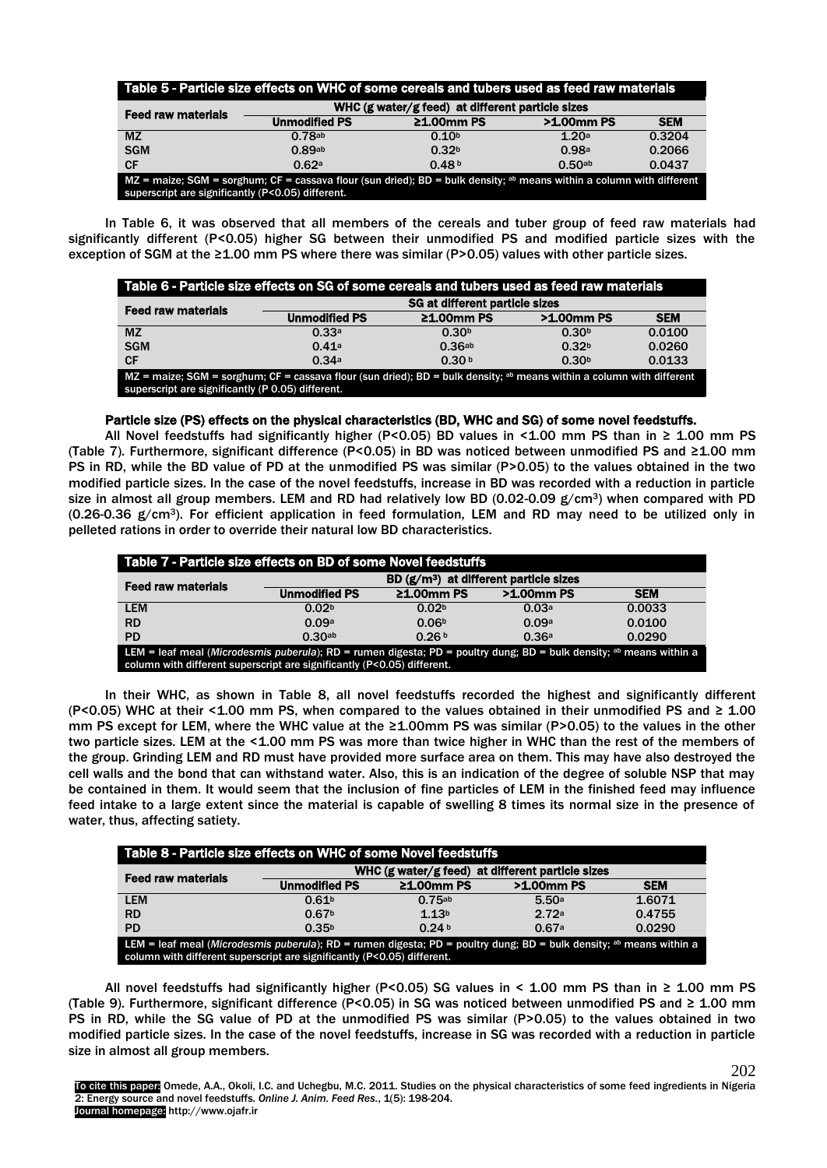| Table 5 - Particle size effects on WHC of some cereals and tubers used as feed raw materials                                                                                          |                      |                                                  |             |            |  |
|---------------------------------------------------------------------------------------------------------------------------------------------------------------------------------------|----------------------|--------------------------------------------------|-------------|------------|--|
| <b>Feed raw materials</b>                                                                                                                                                             |                      | WHC (g water/g feed) at different particle sizes |             |            |  |
|                                                                                                                                                                                       | <b>Unmodified PS</b> | $\geq 1.00$ mm PS                                | >1.00mm PS  | <b>SEM</b> |  |
| <b>MZ</b>                                                                                                                                                                             | 0.78ab               | 0.10 <sup>b</sup>                                | 1.20a       | 0.3204     |  |
| <b>SGM</b>                                                                                                                                                                            | 0.89ab               | 0.32 <sup>b</sup>                                | 0.98a       | 0.2066     |  |
| <b>CF</b>                                                                                                                                                                             | 0.62a                | 0.48 <sup>b</sup>                                | $0.50^{ab}$ | 0.0437     |  |
| MZ = maize; SGM = sorghum; CF = cassava flour (sun dried); BD = bulk density; <sup>ab</sup> means within a column with different<br>superscript are significantly (P<0.05) different. |                      |                                                  |             |            |  |

In Table 6, it was observed that all members of the cereals and tuber group of feed raw materials had significantly different (P<0.05) higher SG between their unmodified PS and modified particle sizes with the exception of SGM at the ≥1.00 mm PS where there was similar (P>0.05) values with other particle sizes.

| Table 6 - Particle size effects on SG of some cereals and tubers used as feed raw materials                                                                                           |                                |                   |                   |            |  |
|---------------------------------------------------------------------------------------------------------------------------------------------------------------------------------------|--------------------------------|-------------------|-------------------|------------|--|
| <b>Feed raw materials</b>                                                                                                                                                             | SG at different particle sizes |                   |                   |            |  |
|                                                                                                                                                                                       | <b>Unmodified PS</b>           | $\geq 1.00$ mm PS | >1.00mm PS        | <b>SEM</b> |  |
| <b>MZ</b>                                                                                                                                                                             | 0.33a                          | 0.30 <sup>b</sup> | 0.30 <sub>b</sub> | 0.0100     |  |
| <b>SGM</b>                                                                                                                                                                            | 0.41a                          | 0.36ab            | 0.32 <sup>b</sup> | 0.0260     |  |
| <b>CF</b>                                                                                                                                                                             | 0.34a                          | 0.30 <sup>b</sup> | 0.30 <sup>b</sup> | 0.0133     |  |
| MZ = maize; SGM = sorghum; CF = cassava flour (sun dried); BD = bulk density; <sup>ab</sup> means within a column with different<br>superscript are significantly (P 0.05) different. |                                |                   |                   |            |  |

## Particle size (PS) effects on the physical characteristics (BD, WHC and SG) of some novel feedstuffs.

All Novel feedstuffs had significantly higher (P<0.05) BD values in <1.00 mm PS than in  $\geq$  1.00 mm PS (Table 7). Furthermore, significant difference (P<0.05) in BD was noticed between unmodified PS and ≥1.00 mm PS in RD, while the BD value of PD at the unmodified PS was similar (P>0.05) to the values obtained in the two modified particle sizes. In the case of the novel feedstuffs, increase in BD was recorded with a reduction in particle size in almost all group members. LEM and RD had relatively low BD (0.02-0.09  $g/cm^3$ ) when compared with PD (0.26-0.36 g/cm3). For efficient application in feed formulation, LEM and RD may need to be utilized only in pelleted rations in order to override their natural low BD characteristics.

| Table 7 - Particle size effects on BD of some Novel feedstuffs                                                                                                                                 |                                         |                   |            |            |
|------------------------------------------------------------------------------------------------------------------------------------------------------------------------------------------------|-----------------------------------------|-------------------|------------|------------|
| <b>Feed raw materials</b>                                                                                                                                                                      | $BD (g/m3)$ at different particle sizes |                   |            |            |
|                                                                                                                                                                                                | <b>Unmodified PS</b>                    | $\geq 1.00$ mm PS | >1.00mm PS | <b>SEM</b> |
| <b>LEM</b>                                                                                                                                                                                     | 0.02 <sup>b</sup>                       | 0.02 <sup>b</sup> | 0.03a      | 0.0033     |
| <b>RD</b>                                                                                                                                                                                      | 0.09a                                   | 0.06 <sup>b</sup> | 0.09a      | 0.0100     |
| <b>PD</b>                                                                                                                                                                                      | 0.30ab                                  | 0.26 <sup>b</sup> | 0.36a      | 0.0290     |
| LEM = leaf meal (Microdesmis puberula); RD = rumen digesta; PD = poultry dung; BD = bulk density; ab means within a<br>column with different superscript are significantly (P<0.05) different. |                                         |                   |            |            |

In their WHC, as shown in Table 8, all novel feedstuffs recorded the highest and significantly different (P<0.05) WHC at their <1.00 mm PS, when compared to the values obtained in their unmodified PS and  $\geq 1.00$ mm PS except for LEM, where the WHC value at the ≥1.00mm PS was similar (P>0.05) to the values in the other two particle sizes. LEM at the <1.00 mm PS was more than twice higher in WHC than the rest of the members of the group. Grinding LEM and RD must have provided more surface area on them. This may have also destroyed the cell walls and the bond that can withstand water. Also, this is an indication of the degree of soluble NSP that may be contained in them. It would seem that the inclusion of fine particles of LEM in the finished feed may influence feed intake to a large extent since the material is capable of swelling 8 times its normal size in the presence of water, thus, affecting satiety.

| Table 8 - Particle size effects on WHC of some Novel feedstuffs                                                                                                                                |                                                  |                   |            |            |
|------------------------------------------------------------------------------------------------------------------------------------------------------------------------------------------------|--------------------------------------------------|-------------------|------------|------------|
| <b>Feed raw materials</b>                                                                                                                                                                      | WHC (g water/g feed) at different particle sizes |                   |            |            |
|                                                                                                                                                                                                | <b>Unmodified PS</b>                             | $21.00$ mm PS     | >1,00mm PS | <b>SEM</b> |
| <b>LEM</b>                                                                                                                                                                                     | 0.61 <sup>b</sup>                                | 0.75ab            | 5.50a      | 1.6071     |
| <b>RD</b>                                                                                                                                                                                      | 0.67 <sup>b</sup>                                | 1.13 <sup>b</sup> | 272a       | 0.4755     |
| <b>PD</b>                                                                                                                                                                                      | 0.35 <sup>b</sup>                                | 0.24 <sup>b</sup> | 0.67a      | 0.0290     |
| LEM = leaf meal (Microdesmis puberula); RD = rumen digesta; PD = poultry dung; BD = bulk density; ab means within a<br>column with different superscript are significantly (P<0.05) different. |                                                  |                   |            |            |

All novel feedstuffs had significantly higher (P<0.05) SG values in < 1.00 mm PS than in  $\geq$  1.00 mm PS (Table 9). Furthermore, significant difference (P<0.05) in SG was noticed between unmodified PS and ≥ 1.00 mm PS in RD, while the SG value of PD at the unmodified PS was similar (P>0.05) to the values obtained in two modified particle sizes. In the case of the novel feedstuffs, increase in SG was recorded with a reduction in particle size in almost all group members.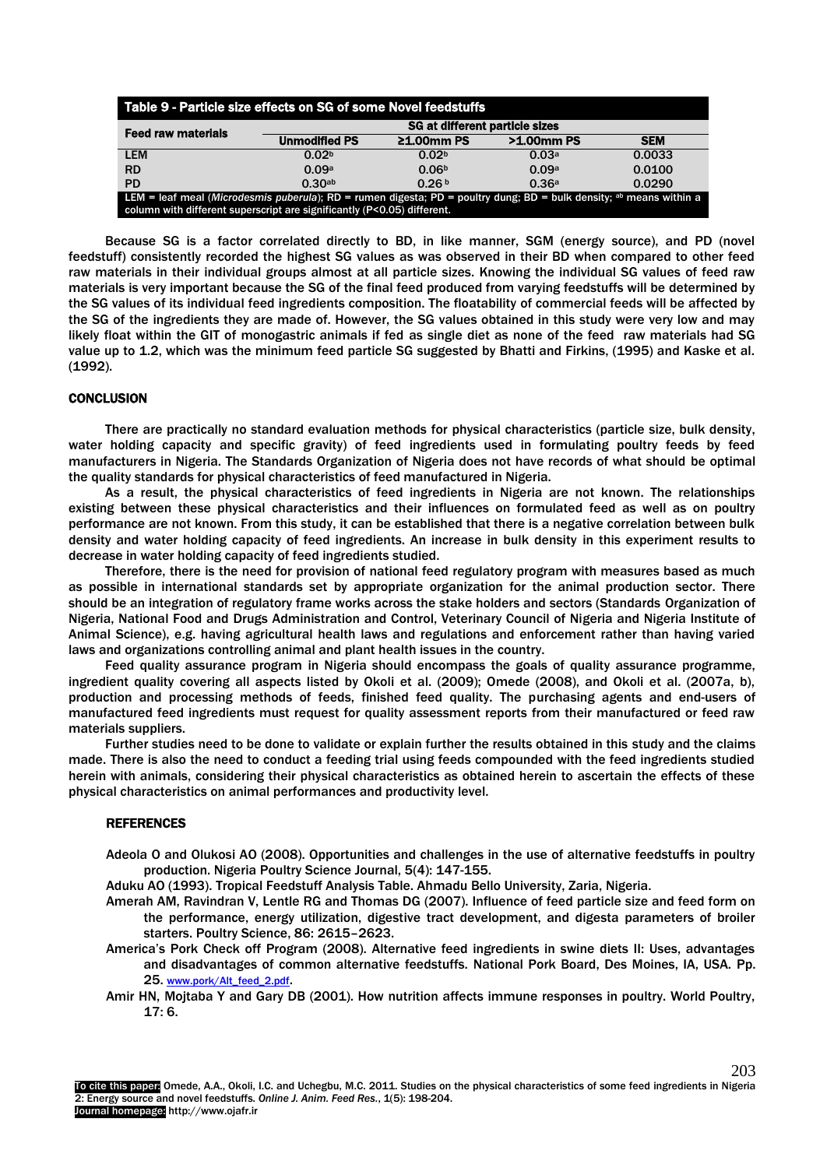| Table 9 - Particle size effects on SG of some Novel feedstuffs                                                                                                                                            |                                |                   |       |        |
|-----------------------------------------------------------------------------------------------------------------------------------------------------------------------------------------------------------|--------------------------------|-------------------|-------|--------|
| <b>Feed raw materials</b>                                                                                                                                                                                 | SG at different particle sizes |                   |       |        |
|                                                                                                                                                                                                           | >1.00mm PS                     | <b>SEM</b>        |       |        |
| <b>LEM</b>                                                                                                                                                                                                | 0.02 <sup>b</sup>              | 0.02 <sup>b</sup> | 0.03a | 0.0033 |
| <b>RD</b>                                                                                                                                                                                                 | 0.09a                          | 0.06 <sup>b</sup> | 0.09a | 0.0100 |
| <b>PD</b>                                                                                                                                                                                                 | 0.30ab                         | 0.26 <sup>b</sup> | 0.36a | 0.0290 |
| LEM = leaf meal (Microdesmis puberula); RD = rumen digesta; PD = poultry dung; BD = bulk density; <sup>ab</sup> means within a<br>column with different superscript are significantly (P<0.05) different. |                                |                   |       |        |

Because SG is a factor correlated directly to BD, in like manner, SGM (energy source), and PD (novel feedstuff) consistently recorded the highest SG values as was observed in their BD when compared to other feed raw materials in their individual groups almost at all particle sizes. Knowing the individual SG values of feed raw materials is very important because the SG of the final feed produced from varying feedstuffs will be determined by the SG values of its individual feed ingredients composition. The floatability of commercial feeds will be affected by the SG of the ingredients they are made of. However, the SG values obtained in this study were very low and may likely float within the GIT of monogastric animals if fed as single diet as none of the feed raw materials had SG value up to 1.2, which was the minimum feed particle SG suggested by Bhatti and Firkins, (1995) and Kaske et al. (1992).

# **CONCLUSION**

There are practically no standard evaluation methods for physical characteristics (particle size, bulk density, water holding capacity and specific gravity) of feed ingredients used in formulating poultry feeds by feed manufacturers in Nigeria. The Standards Organization of Nigeria does not have records of what should be optimal the quality standards for physical characteristics of feed manufactured in Nigeria.

As a result, the physical characteristics of feed ingredients in Nigeria are not known. The relationships existing between these physical characteristics and their influences on formulated feed as well as on poultry performance are not known. From this study, it can be established that there is a negative correlation between bulk density and water holding capacity of feed ingredients. An increase in bulk density in this experiment results to decrease in water holding capacity of feed ingredients studied.

Therefore, there is the need for provision of national feed regulatory program with measures based as much as possible in international standards set by appropriate organization for the animal production sector. There should be an integration of regulatory frame works across the stake holders and sectors (Standards Organization of Nigeria, National Food and Drugs Administration and Control, Veterinary Council of Nigeria and Nigeria Institute of Animal Science), e.g. having agricultural health laws and regulations and enforcement rather than having varied laws and organizations controlling animal and plant health issues in the country.

Feed quality assurance program in Nigeria should encompass the goals of quality assurance programme, ingredient quality covering all aspects listed by Okoli et al. (2009); Omede (2008), and Okoli et al. (2007a, b), production and processing methods of feeds, finished feed quality. The purchasing agents and end-users of manufactured feed ingredients must request for quality assessment reports from their manufactured or feed raw materials suppliers.

Further studies need to be done to validate or explain further the results obtained in this study and the claims made. There is also the need to conduct a feeding trial using feeds compounded with the feed ingredients studied herein with animals, considering their physical characteristics as obtained herein to ascertain the effects of these physical characteristics on animal performances and productivity level.

#### REFERENCES

Adeola O and Olukosi AO (2008). Opportunities and challenges in the use of alternative feedstuffs in poultry production. Nigeria Poultry Science Journal, 5(4): 147-155.

Aduku AO (1993). Tropical Feedstuff Analysis Table. Ahmadu Bello University, Zaria, Nigeria.

- Amerah AM, Ravindran V, Lentle RG and Thomas DG (2007). Influence of feed particle size and feed form on the performance, energy utilization, digestive tract development, and digesta parameters of broiler starters. Poultry Science, 86: 2615–2623.
- America's Pork Check off Program (2008). Alternative feed ingredients in swine diets II: Uses, advantages and disadvantages of common alternative feedstuffs. National Pork Board, Des Moines, IA, USA. Pp. 25. [www.pork/Alt\\_feed\\_2.pdf](http://www.pork/Alt_feed_2.pdf).
- Amir HN, Mojtaba Y and Gary DB (2001). How nutrition affects immune responses in poultry. World Poultry, 17: 6.